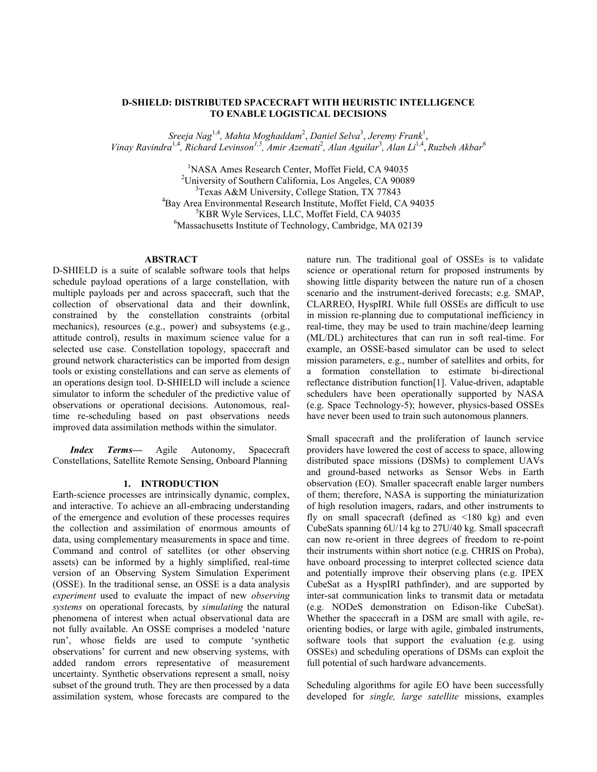## **D-SHIELD: DISTRIBUTED SPACECRAFT WITH HEURISTIC INTELLIGENCE TO ENABLE LOGISTICAL DECISIONS**

*Sreeja Nag*1,4*, Mahta Moghaddam*<sup>2</sup> , *Daniel Selva*<sup>3</sup> , *Jeremy Frank*<sup>1</sup> , *Vinay Ravindra*1,4 *, Richard Levinson1,5 , Amir Azemati*<sup>2</sup> *, Alan Aguilar*<sup>3</sup> *, Alan Li*1,4 , *Ruzbeh Akbar<sup>6</sup>*

> <sup>1</sup>NASA Ames Research Center, Moffet Field, CA 94035 <sup>2</sup>University of Southern California, Los Angeles, CA 90089 <sup>3</sup>Texas A&M University, College Station, TX 77843 <sup>4</sup>Bay Area Environmental Research Institute, Moffet Field, CA 94035 <sup>5</sup>KBR Wyle Services, LLC, Moffet Field, CA 94035 <sup>6</sup>Massachusetts Institute of Technology, Cambridge, MA 02139

## **ABSTRACT**

D-SHIELD is a suite of scalable software tools that helps schedule payload operations of a large constellation, with multiple payloads per and across spacecraft, such that the collection of observational data and their downlink, constrained by the constellation constraints (orbital mechanics), resources (e.g., power) and subsystems (e.g., attitude control), results in maximum science value for a selected use case. Constellation topology, spacecraft and ground network characteristics can be imported from design tools or existing constellations and can serve as elements of an operations design tool. D-SHIELD will include a science simulator to inform the scheduler of the predictive value of observations or operational decisions. Autonomous, realtime re-scheduling based on past observations needs improved data assimilation methods within the simulator.

*Index Terms—* Agile Autonomy, Spacecraft Constellations, Satellite Remote Sensing, Onboard Planning

### **1. INTRODUCTION**

Earth-science processes are intrinsically dynamic, complex, and interactive. To achieve an all-embracing understanding of the emergence and evolution of these processes requires the collection and assimilation of enormous amounts of data, using complementary measurements in space and time. Command and control of satellites (or other observing assets) can be informed by a highly simplified, real-time version of an Observing System Simulation Experiment (OSSE). In the traditional sense, an OSSE is a data analysis *experiment* used to evaluate the impact of new *observing systems* on operational forecasts*,* by *simulating* the natural phenomena of interest when actual observational data are not fully available. An OSSE comprises a modeled 'nature run', whose fields are used to compute 'synthetic observations' for current and new observing systems, with added random errors representative of measurement uncertainty. Synthetic observations represent a small, noisy subset of the ground truth. They are then processed by a data assimilation system, whose forecasts are compared to the

nature run. The traditional goal of OSSEs is to validate science or operational return for proposed instruments by showing little disparity between the nature run of a chosen scenario and the instrument-derived forecasts; e.g. SMAP, CLARREO, HyspIRI. While full OSSEs are difficult to use in mission re-planning due to computational inefficiency in real-time, they may be used to train machine/deep learning (ML/DL) architectures that can run in soft real-time. For example, an OSSE-based simulator can be used to select mission parameters, e.g., number of satellites and orbits, for a formation constellation to estimate bi-directional reflectance distribution function[1]. Value-driven, adaptable schedulers have been operationally supported by NASA (e.g. Space Technology-5); however, physics-based OSSEs have never been used to train such autonomous planners.

Small spacecraft and the proliferation of launch service providers have lowered the cost of access to space, allowing distributed space missions (DSMs) to complement UAVs and ground-based networks as Sensor Webs in Earth observation (EO). Smaller spacecraft enable larger numbers of them; therefore, NASA is supporting the miniaturization of high resolution imagers, radars, and other instruments to fly on small spacecraft (defined as  $\leq 180$  kg) and even CubeSats spanning 6U/14 kg to 27U/40 kg. Small spacecraft can now re-orient in three degrees of freedom to re-point their instruments within short notice (e.g. CHRIS on Proba), have onboard processing to interpret collected science data and potentially improve their observing plans (e.g. IPEX CubeSat as a HyspIRI pathfinder), and are supported by inter-sat communication links to transmit data or metadata (e.g. NODeS demonstration on Edison-like CubeSat). Whether the spacecraft in a DSM are small with agile, reorienting bodies, or large with agile, gimbaled instruments, software tools that support the evaluation (e.g. using OSSEs) and scheduling operations of DSMs can exploit the full potential of such hardware advancements.

Scheduling algorithms for agile EO have been successfully developed for *single, large satellite* missions, examples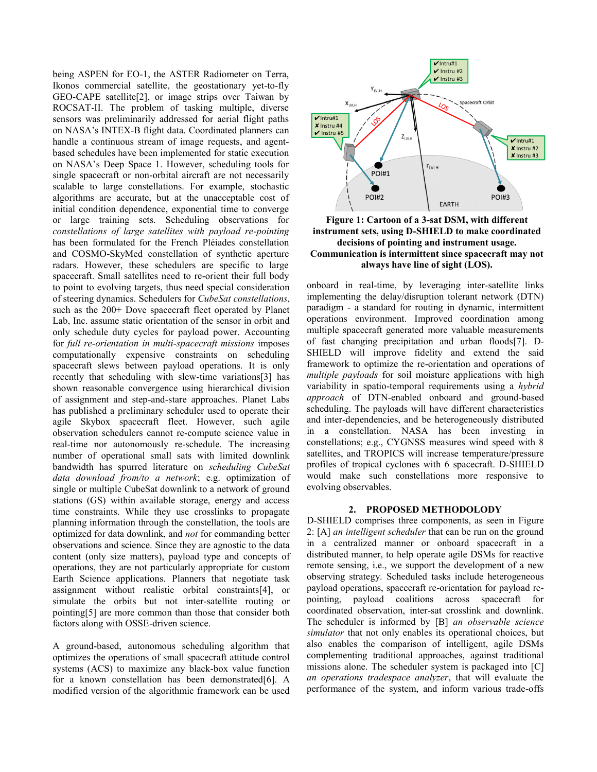being ASPEN for EO-1, the ASTER Radiometer on Terra, Ikonos commercial satellite, the geostationary yet-to-fly GEO-CAPE satellite[2], or image strips over Taiwan by ROCSAT-II. The problem of tasking multiple, diverse sensors was preliminarily addressed for aerial flight paths on NASA's INTEX-B flight data. Coordinated planners can handle a continuous stream of image requests, and agentbased schedules have been implemented for static execution on NASA's Deep Space 1. However, scheduling tools for single spacecraft or non-orbital aircraft are not necessarily scalable to large constellations. For example, stochastic algorithms are accurate, but at the unacceptable cost of initial condition dependence, exponential time to converge or large training sets. Scheduling observations for *constellations of large satellites with payload re-pointing* has been formulated for the French Pléiades constellation and COSMO-SkyMed constellation of synthetic aperture radars. However, these schedulers are specific to large spacecraft. Small satellites need to re-orient their full body to point to evolving targets, thus need special consideration of steering dynamics. Schedulers for *CubeSat constellations*, such as the 200+ Dove spacecraft fleet operated by Planet Lab, Inc. assume static orientation of the sensor in orbit and only schedule duty cycles for payload power. Accounting for *full re-orientation in multi-spacecraft missions* imposes computationally expensive constraints on scheduling spacecraft slews between payload operations. It is only recently that scheduling with slew-time variations[3] has shown reasonable convergence using hierarchical division of assignment and step-and-stare approaches. Planet Labs has published a preliminary scheduler used to operate their agile Skybox spacecraft fleet. However, such agile observation schedulers cannot re-compute science value in real-time nor autonomously re-schedule. The increasing number of operational small sats with limited downlink bandwidth has spurred literature on *scheduling CubeSat data download from/to a network*; e.g. optimization of single or multiple CubeSat downlink to a network of ground stations (GS) within available storage, energy and access time constraints. While they use crosslinks to propagate planning information through the constellation, the tools are optimized for data downlink, and *not* for commanding better observations and science. Since they are agnostic to the data content (only size matters), payload type and concepts of operations, they are not particularly appropriate for custom Earth Science applications. Planners that negotiate task assignment without realistic orbital constraints[4], or simulate the orbits but not inter-satellite routing or pointing[5] are more common than those that consider both factors along with OSSE-driven science.

A ground-based, autonomous scheduling algorithm that optimizes the operations of small spacecraft attitude control systems (ACS) to maximize any black-box value function for a known constellation has been demonstrated[6]. A modified version of the algorithmic framework can be used



**Figure 1: Cartoon of a 3-sat DSM, with different instrument sets, using D-SHIELD to make coordinated decisions of pointing and instrument usage. Communication is intermittent since spacecraft may not always have line of sight (LOS).**

onboard in real-time, by leveraging inter-satellite links implementing the delay/disruption tolerant network (DTN) paradigm - a standard for routing in dynamic, intermittent operations environment. Improved coordination among multiple spacecraft generated more valuable measurements of fast changing precipitation and urban floods[7]. D-SHIELD will improve fidelity and extend the said framework to optimize the re-orientation and operations of *multiple payloads* for soil moisture applications with high variability in spatio-temporal requirements using a *hybrid approach* of DTN-enabled onboard and ground-based scheduling. The payloads will have different characteristics and inter-dependencies, and be heterogeneously distributed in a constellation. NASA has been investing in constellations; e.g., CYGNSS measures wind speed with 8 satellites, and TROPICS will increase temperature/pressure profiles of tropical cyclones with 6 spacecraft. D-SHIELD would make such constellations more responsive to evolving observables.

## **2. PROPOSED METHODOLODY**

D-SHIELD comprises three components, as seen in [Figure](#page-2-0)  [2:](#page-2-0) [A] *an intelligent scheduler* that can be run on the ground in a centralized manner or onboard spacecraft in a distributed manner, to help operate agile DSMs for reactive remote sensing, i.e., we support the development of a new observing strategy. Scheduled tasks include heterogeneous payload operations, spacecraft re-orientation for payload repointing, payload coalitions across spacecraft for coordinated observation, inter-sat crosslink and downlink. The scheduler is informed by [B] *an observable science simulator* that not only enables its operational choices, but also enables the comparison of intelligent, agile DSMs complementing traditional approaches, against traditional missions alone. The scheduler system is packaged into [C] *an operations tradespace analyzer*, that will evaluate the performance of the system, and inform various trade-offs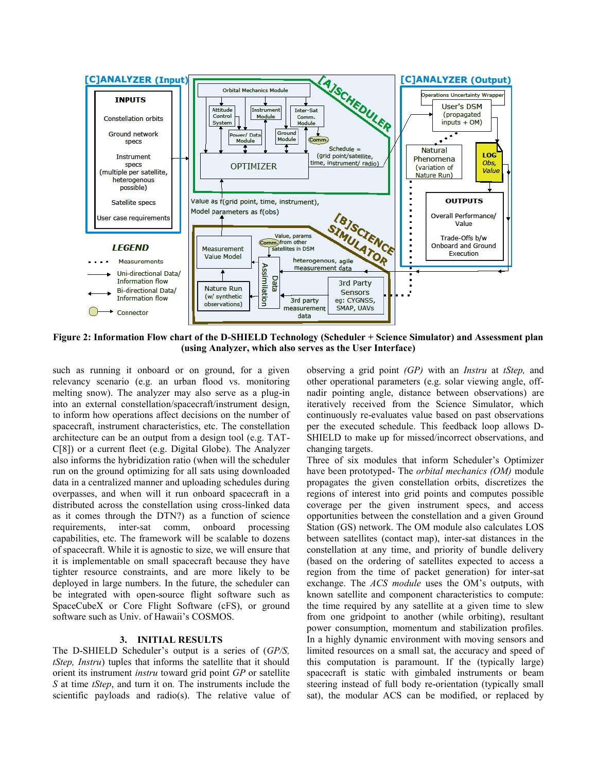

<span id="page-2-0"></span>**Figure 2: Information Flow chart of the D-SHIELD Technology (Scheduler + Science Simulator) and Assessment plan (using Analyzer, which also serves as the User Interface)**

such as running it onboard or on ground, for a given relevancy scenario (e.g. an urban flood vs. monitoring melting snow). The analyzer may also serve as a plug-in into an external constellation/spacecraft/instrument design, to inform how operations affect decisions on the number of spacecraft, instrument characteristics, etc. The constellation architecture can be an output from a design tool (e.g. TAT-C[8]) or a current fleet (e.g. Digital Globe). The Analyzer also informs the hybridization ratio (when will the scheduler run on the ground optimizing for all sats using downloaded data in a centralized manner and uploading schedules during overpasses, and when will it run onboard spacecraft in a distributed across the constellation using cross-linked data as it comes through the DTN?) as a function of science requirements, inter-sat comm, onboard processing capabilities, etc. The framework will be scalable to dozens of spacecraft. While it is agnostic to size, we will ensure that it is implementable on small spacecraft because they have tighter resource constraints, and are more likely to be deployed in large numbers. In the future, the scheduler can be integrated with open-source flight software such as SpaceCubeX or Core Flight Software (cFS), or ground software such as Univ. of Hawaii's COSMOS.

# **3. INITIAL RESULTS**

The D-SHIELD Scheduler's output is a series of (*GP/S, tStep, Instru*) tuples that informs the satellite that it should orient its instrument *instru* toward grid point *GP* or satellite *S* at time *tStep*, and turn it on*.* The instruments include the scientific payloads and radio(s). The relative value of observing a grid point *(GP)* with an *Instru* at *tStep,* and other operational parameters (e.g. solar viewing angle, offnadir pointing angle, distance between observations) are iteratively received from the Science Simulator, which continuously re-evaluates value based on past observations per the executed schedule. This feedback loop allows D-SHIELD to make up for missed/incorrect observations, and changing targets.

Three of six modules that inform Scheduler's Optimizer have been prototyped- The *orbital mechanics (OM)* module propagates the given constellation orbits, discretizes the regions of interest into grid points and computes possible coverage per the given instrument specs, and access opportunities between the constellation and a given Ground Station (GS) network. The OM module also calculates LOS between satellites (contact map), inter-sat distances in the constellation at any time, and priority of bundle delivery (based on the ordering of satellites expected to access a region from the time of packet generation) for inter-sat exchange. The *ACS module* uses the OM's outputs, with known satellite and component characteristics to compute: the time required by any satellite at a given time to slew from one gridpoint to another (while orbiting), resultant power consumption, momentum and stabilization profiles. In a highly dynamic environment with moving sensors and limited resources on a small sat, the accuracy and speed of this computation is paramount. If the (typically large) spacecraft is static with gimbaled instruments or beam steering instead of full body re-orientation (typically small sat), the modular ACS can be modified, or replaced by